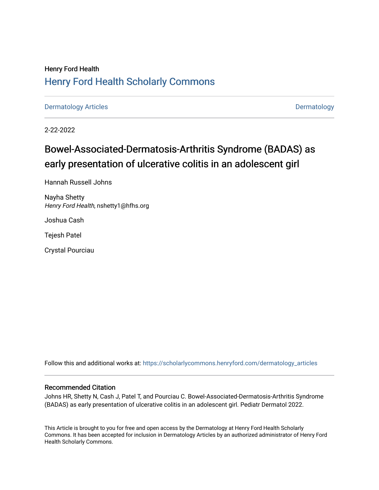# Henry Ford Health [Henry Ford Health Scholarly Commons](https://scholarlycommons.henryford.com/)

[Dermatology Articles](https://scholarlycommons.henryford.com/dermatology_articles) **Dermatology** 

2-22-2022

# Bowel-Associated-Dermatosis-Arthritis Syndrome (BADAS) as early presentation of ulcerative colitis in an adolescent girl

Hannah Russell Johns

Nayha Shetty Henry Ford Health, nshetty1@hfhs.org

Joshua Cash

Tejesh Patel

Crystal Pourciau

Follow this and additional works at: [https://scholarlycommons.henryford.com/dermatology\\_articles](https://scholarlycommons.henryford.com/dermatology_articles?utm_source=scholarlycommons.henryford.com%2Fdermatology_articles%2F656&utm_medium=PDF&utm_campaign=PDFCoverPages)

# Recommended Citation

Johns HR, Shetty N, Cash J, Patel T, and Pourciau C. Bowel-Associated-Dermatosis-Arthritis Syndrome (BADAS) as early presentation of ulcerative colitis in an adolescent girl. Pediatr Dermatol 2022.

This Article is brought to you for free and open access by the Dermatology at Henry Ford Health Scholarly Commons. It has been accepted for inclusion in Dermatology Articles by an authorized administrator of Henry Ford Health Scholarly Commons.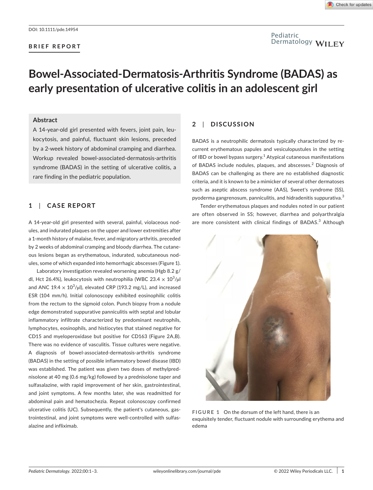# Pediatric Dermatology WILEY

# **Bowel-Associated-Dermatosis-Arthritis Syndrome (BADAS) as early presentation of ulcerative colitis in an adolescent girl**

# **Abstract**

A 14-year-old girl presented with fevers, joint pain, leukocytosis, and painful, fluctuant skin lesions, preceded by a 2-week history of abdominal cramping and diarrhea. Workup revealed bowel-associated-dermatosis-arthritis syndrome (BADAS) in the setting of ulcerative colitis, a rare finding in the pediatric population.

# **1**  | **CASE REPORT**

A 14-year-old girl presented with several, painful, violaceous nodules, and indurated plaques on the upper and lower extremities after a 1-month history of malaise, fever, and migratory arthritis, preceded by 2 weeks of abdominal cramping and bloody diarrhea. The cutaneous lesions began as erythematous, indurated, subcutaneous nodules, some of which expanded into hemorrhagic abscesses (Figure 1).

Laboratory investigation revealed worsening anemia (Hgb 8.2 g/ dl, Hct 26.4%), leukocytosis with neutrophilia (WBC 23.4  $\times$  10<sup>3</sup>/µl and ANC 19.4  $\times$  10<sup>3</sup>/µl), elevated CRP (193.2 mg/L), and increased ESR (104 mm/h). Initial colonoscopy exhibited eosinophilic colitis from the rectum to the sigmoid colon. Punch biopsy from a nodule edge demonstrated suppurative panniculitis with septal and lobular inflammatory infiltrate characterized by predominant neutrophils, lymphocytes, eosinophils, and histiocytes that stained negative for CD15 and myeloperoxidase but positive for CD163 (Figure 2A,B). There was no evidence of vasculitis. Tissue cultures were negative. A diagnosis of bowel-associated-dermatosis-arthritis syndrome (BADAS) in the setting of possible inflammatory bowel disease (IBD) was established. The patient was given two doses of methylprednisolone at 40 mg (0.6 mg/kg) followed by a prednisolone taper and sulfasalazine, with rapid improvement of her skin, gastrointestinal, and joint symptoms. A few months later, she was readmitted for abdominal pain and hematochezia. Repeat colonoscopy confirmed ulcerative colitis (UC). Subsequently, the patient's cutaneous, gastrointestinal, and joint symptoms were well-controlled with sulfasalazine and infliximab.

# **2**  | **DISCUSSION**

BADAS is a neutrophilic dermatosis typically characterized by recurrent erythematous papules and vesiculopustules in the setting of IBD or bowel bypass surgery.<sup>1</sup> Atypical cutaneous manifestations of BADAS include nodules, plaques, and abscesses.<sup>2</sup> Diagnosis of BADAS can be challenging as there are no established diagnostic criteria, and it is known to be a mimicker of several other dermatoses such as aseptic abscess syndrome (AAS), Sweet's syndrome (SS), pyoderma gangrenosum, panniculitis, and hidradenitis suppurativa.<sup>3</sup>

Tender erythematous plaques and nodules noted in our patient are often observed in SS; however, diarrhea and polyarthralgia are more consistent with clinical findings of BADAS.<sup>3</sup> Although



**FIGURE 1** On the dorsum of the left hand, there is an exquisitely tender, fluctuant nodule with surrounding erythema and edema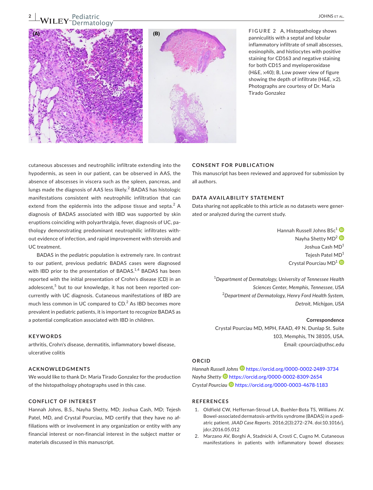# **<sup>2</sup><sup>|</sup>**  Pediatric natology



**FIGURE 2** A, Histopathology shows panniculitis with a septal and lobular inflammatory infiltrate of small abscesses, eosinophils, and histiocytes with positive staining for CD163 and negative staining for both CD15 and myeloperoxidase (H&E, ×40); B, Low power view of figure showing the depth of infiltrate ( $H\&E, x2$ ). Photographs are courtesy of Dr. Maria Tirado Gonzalez

cutaneous abscesses and neutrophilic infiltrate extending into the hypodermis, as seen in our patient, can be observed in AAS, the absence of abscesses in viscera such as the spleen, pancreas, and lungs made the diagnosis of AAS less likely. $^2$  BADAS has histologic manifestations consistent with neutrophilic infiltration that can extend from the epidermis into the adipose tissue and septa. $^2$  A diagnosis of BADAS associated with IBD was supported by skin eruptions coinciding with polyarthralgia, fever, diagnosis of UC, pathology demonstrating predominant neutrophilic infiltrates without evidence of infection, and rapid improvement with steroids and UC treatment.

BADAS in the pediatric population is extremely rare. In contrast to our patient, previous pediatric BADAS cases were diagnosed with IBD prior to the presentation of BADAS. $1,4$  BADAS has been reported with the initial presentation of Crohn's disease (CD) in an adolescent,<sup>5</sup> but to our knowledge, it has not been reported concurrently with UC diagnosis. Cutaneous manifestations of IBD are much less common in UC compared to  $CD$ .<sup>2</sup> As IBD becomes more prevalent in pediatric patients, it is important to recognize BADAS as a potential complication associated with IBD in children.

#### **KEYWORDS**

arthritis, Crohn's disease, dermatitis, inflammatory bowel disease, ulcerative colitis

#### **ACKNOWLEDGMENTS**

We would like to thank Dr. Maria Tirado Gonzalez for the production of the histopathology photographs used in this case.

## **CONFLICT OF INTEREST**

Hannah Johns, B.S., Nayha Shetty, MD; Joshua Cash, MD; Tejesh Patel, MD, and Crystal Pourciau, MD certify that they have no affiliations with or involvement in any organization or entity with any financial interest or non-financial interest in the subject matter or materials discussed in this manuscript.

## **CONSENT FOR PUBLICATION**

This manuscript has been reviewed and approved for submission by all authors.

## **DATA AVAILABILITY STATEMENT**

Data sharing not applicable to this article as no datasets were generated or analyzed during the current study.

> Hannah Russell Johns BSc<sup>[1](https://orcid.org/0000-0002-2489-3734)</sup><sup>(D</sup> Nayha Shetty MD<sup>[2](https://orcid.org/0000-0002-8309-2654)</sup> Joshua Cash MD<sup>1</sup> Tejesh Patel MD<sup>1</sup> Crystal Pourciau MD<sup>[1](https://orcid.org/0000-0003-4678-1183)</sup>

1 *Department of Dermatology, University of Tennessee Health Sciences Center, Memphis, Tennessee, USA* 2 *Department of Dermatology, Henry Ford Health System, Detroit, Michigan, USA*

#### **Correspondence**

Crystal Pourciau MD, MPH, FAAD, 49 N. Dunlap St. Suite 103, Memphis, TN 38105, USA. Email: [cpourcia@uthsc.edu](mailto:cpourcia@uthsc.edu)

### **ORCID**

*Hannah Russell Johns* <https://orcid.org/0000-0002-2489-3734> *Nayha Shett[y](https://orcid.org/0000-0002-8309-2654)* <https://orcid.org/0000-0002-8309-2654> *Crystal Pourciau* <https://orcid.org/0000-0003-4678-1183>

## **REFERENCES**

- 1. Oldfield CW, Heffernan-Stroud LA, Buehler-Bota TS, Williams JV. Bowel-associated dermatosis-arthritis syndrome (BADAS) in a pediatric patient. *JAAD Case Reports*. 2016;2(3):272–274. doi[:10.1016/j.](https://doi.org/10.1016/j.jdcr.2016.05.012) [jdcr.2016.05.012](https://doi.org/10.1016/j.jdcr.2016.05.012)
- 2. Marzano AV, Borghi A, Stadnicki A, Crosti C, Cugno M. Cutaneous manifestations in patients with inflammatory bowel diseases: